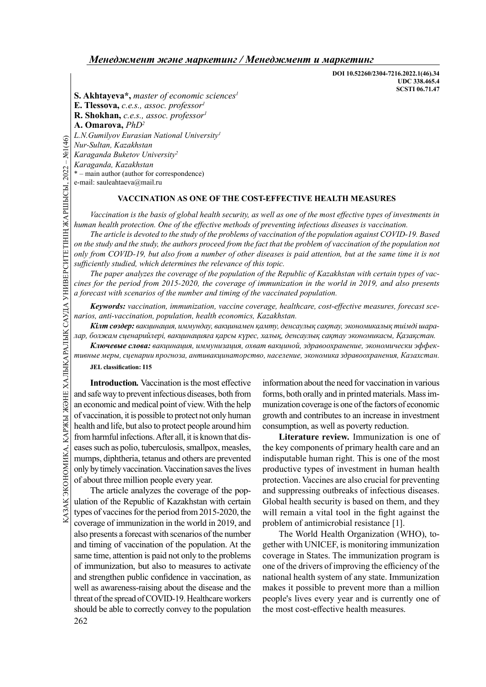DOI 10.52260/2304-7216.2022.1(46).34 UDC 338.465.4 SCSTI 06.71.47

S. Akhtayeva\*, master of economic sciences $<sup>1</sup>$ </sup>

E. Tlessova, c.e.s., assoc. professor $l$ 

R. Shokhan, c.e.s., assoc. professor<sup>1</sup>

A. Omarova, PhD<sup>2</sup>

L.N. Gumilyov Eurasian National University<sup>1</sup>

Nur-Sultan, Kazakhstan

Karaganda Buketov University<sup>2</sup>

Karaganda, Kazakhstan

\* – main author (author for correspondence)

e-mail: sauleahtaeva@mail.ru

### VACCINATION AS ONE OF THE COST-EFFECTIVE HEALTH MEASURES

Vaccination is the basis of global health security, as well as one of the most effective types of investments in human health protection. One of the effective methods of preventing infectious diseases is vaccination.

G E.N. Gumuyov Eartstand T<br>
Nur-Sultan, Kazakhstan<br>
Karaganda Buketov Univ<br>
Karaganda, Kazakhstan<br>
\* – main author (author for or<br>
e-mail: sauleahtaeva@mail.<br>
YACCINA<br>
Vaccination is the ba<br>
human health protection.<br>
The The article is devoted to the study of the problems of vaccination of the population against COVID-19. Based on the study and the study, the authors proceed from the fact that the problem of vaccination of the population not only from COVID-19, but also from a number of other diseases is paid attention, but at the same time it is not sufficiently studied, which determines the relevance of this topic.

The paper analyzes the coverage of the population of the Republic of Kazakhstan with certain types of vaccines for the period from 2015-2020, the coverage of immunization in the world in 2019, and also presents a forecast with scenarios of the number and timing of the vaccinated population.

Keywords: vaccination, immunization, vaccine coverage, healthcare, cost-effective measures, forecast scenarios, anti-vaccination, population, health economics, Kazakhstan.

Кілт сөздер: вакцинация, иммундау, вакцинамен қамту, денсаулық сақтау, экономикалық тиімді шаралар, болжам сценарийлері, вакцинацияға қарсы күрес, халық, денсаулық сақтау экономикасы, Қазақстан.

Ключевые слова: вакцинация, иммунизация, охват вакциной, здравоохранение, экономически эффективные меры, сценарии прогноза, антивакцинаторство, население, экономика здравоохранения, Казахстан.

JEL classification: I15

 $\frac{1}{2}$  and contribute the million is possible to protect not only human growth and c<br>
and the possible to protect not only human growth and c<br>
from harmful infections. After all, it is known that discussions<br>
are such Introduction. Vaccination is the most effective and safe way to prevent infectious diseases, both from an economic and medical point of view. With the help of vaccination, it is possible to protect not only human health and life, but also to protect people around him from harmful infections. After all, it is known that diseases such as polio, tuberculosis, smallpox, measles, mumps, diphtheria, tetanus and others are prevented only by timely vaccination. Vaccination saves the lives of about three million people every year.

262 The article analyzes the coverage of the population of the Republic of Kazakhstan with certain types of vaccines for the period from 2015-2020, the coverage of immunization in the world in 2019, and also presents a forecast with scenarios of the number and timing of vaccination of the population. At the same time, attention is paid not only to the problems of immunization, but also to measures to activate and strengthen public confidence in vaccination, as well as awareness-raising about the disease and the threat of the spread of COVID-19. Healthcare workers should be able to correctly convey to the population

information about the need for vaccination in various forms, both orally and in printed materials. Mass immunization coverage is one of the factors of economic growth and contributes to an increase in investment consumption, as well as poverty reduction.

Literature review. Immunization is one of the key components of primary health care and an indisputable human right. This is one of the most productive types of investment in human health protection. Vaccines are also crucial for preventing and suppressing outbreaks of infectious diseases. Global health security is based on them, and they will remain a vital tool in the fight against the problem of antimicrobial resistance [1].

The World Health Organization (WHO), together with UNICEF, is monitoring immunization coverage in States. The immunization program is one of the drivers of improving the efficiency of the national health system of any state. Immunization makes it possible to prevent more than a million people's lives every year and is currently one of the most cost-effective health measures.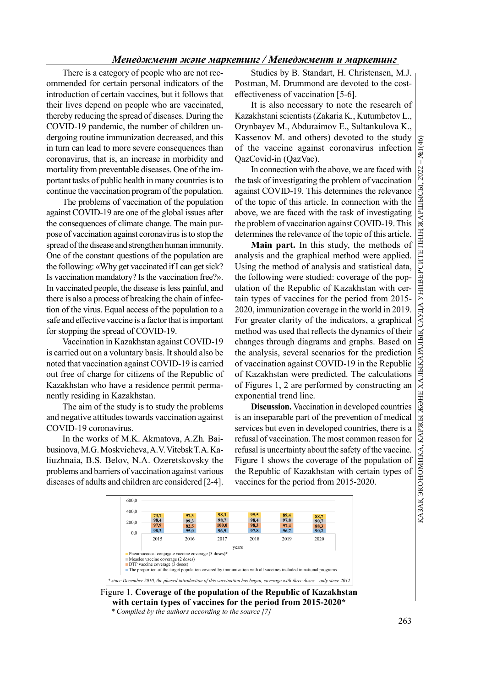# ҚАЗАҚ ЭКОНОМИКА, ҚАРЖЫ Ж ӘНЕ ХАЛЫҚАРАЛЫҚ САУДА УНИВЕРСИТЕТІНІҢ ЖАРШЫСЫ, 2022 – №1(46)<br>|<br>|-

# Менеджмент және маркетинг / Менеджмент и маркетинг

There is a category of people who are not recommended for certain personal indicators of the introduction of certain vaccines, but it follows that their lives depend on people who are vaccinated, thereby reducing the spread of diseases. During the COVID-19 pandemic, the number of children undergoing routine immunization decreased, and this in turn can lead to more severe consequences than coronavirus, that is, an increase in morbidity and mortality from preventable diseases. One of the important tasks of public health in many countries is to continue the vaccination program of the population.

The problems of vaccination of the population against COVID-19 are one of the global issues after the consequences of climate change. The main purpose of vaccination against coronavirus is to stop the spread of the disease and strengthen human immunity. One of the constant questions of the population are the following: «Why get vaccinated if I can get sick? Is vaccination mandatory? Is the vaccination free?». In vaccinated people, the disease is less painful, and there is also a process of breaking the chain of infection of the virus. Equal access of the population to a safe and effective vaccine is a factor that is important for stopping the spread of COVID-19.

Vaccination in Kazakhstan against COVID-19 is carried out on a voluntary basis. It should also be noted that vaccination against COVID-19 is carried out free of charge for citizens of the Republic of Kazakhstan who have a residence permit permanently residing in Kazakhstan.

The aim of the study is to study the problems and negative attitudes towards vaccination against COVID-19 coronavirus.

In the works of M.K. Akmatova, A.Zh. Baibusinova, M.G. Moskvicheva, A.V. Vitebsk T.A. Kaliuzhnaia, B.S. Belov, N.A. Ozeretskovsky the problems and barriers of vaccination against various diseases of adults and children are considered [2-4].

Studies by B. Standart, H. Christensen, M.J. Postman, M. Drummond are devoted to the costeffectiveness of vaccination [5-6].

It is also necessary to note the research of Kazakhstani scientists (Zakaria K., Kutumbetov L., Orynbayev M., Abduraimov E., Sultankulova K., Kassenov M. and others) devoted to the study<br>of the vaccine against coronavirus infection  $\frac{\sigma}{\sigma^2}$ of the vaccine against coronavirus infection QazCovid-in (QazVac).

the task of investigating the problem of vaccination against COVID-19. This determines the relevance of the topic of this article. In connection with the above, we are faced with the task of investigating the problem of vaccination against COVID-19. This determines the relevance of the topic of this article.

In connection with the above, we are faced with<br>sak of investigating the problem of vaccination as<br>sak COVID-19. This determines the relevance of this article. In connection with the<br>e, we are faced with the task of inves Main part. In this study, the methods of analysis and the graphical method were applied. Using the method of analysis and statistical data, the following were studied: coverage of the population of the Republic of Kazakhstan with certain types of vaccines for the period from 2015- 2020, immunization coverage in the world in 2019. For greater clarity of the indicators, a graphical method was used that reflects the dynamics of their changes through diagrams and graphs. Based on the analysis, several scenarios for the prediction of vaccination against COVID-19 in the Republic of Kazakhstan were predicted. The calculations of Figures 1, 2 are performed by constructing an exponential trend line.

Discussion. Vaccination in developed countries is an inseparable part of the prevention of medical services but even in developed countries, there is a refusal of vaccination. The most common reason for refusal is uncertainty about the safety of the vaccine. Figure 1 shows the coverage of the population of the Republic of Kazakhstan with certain types of vaccines for the period from 2015-2020.



Figure 1. Coverage of the population of the Republic of Kazakhstan with certain types of vaccines for the period from 2015-2020\*

<sup>\*</sup> Compiled by the authors according to the source [7]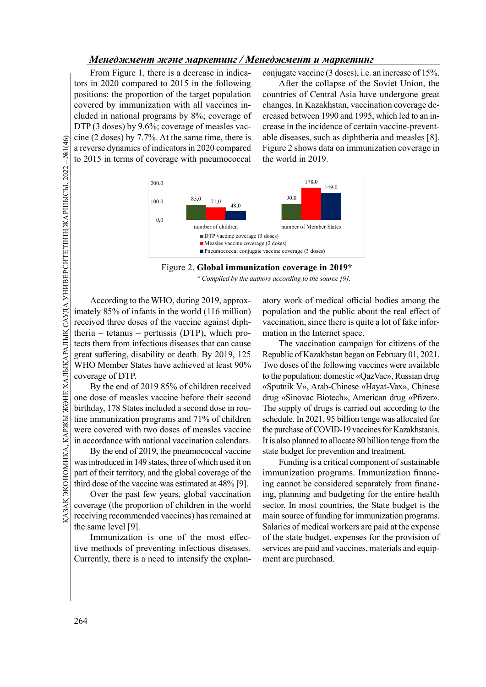From Figure 1, there is a decrease in indicators in 2020 compared to 2015 in the following positions: the proportion of the target population covered by immunization with all vaccines included in national programs by 8%; coverage of DTP (3 doses) by 9.6%; coverage of measles vaccine (2 doses) by 7.7%. At the same time, there is a reverse dynamics of indicators in 2020 compared to 2015 in terms of coverage with pneumococcal

conjugate vaccine (3 doses), i.e. an increase of 15%.

After the collapse of the Soviet Union, the countries of Central Asia have undergone great changes. In Kazakhstan, vaccination coverage decreased between 1990 and 1995, which led to an increase in the incidence of certain vaccine-preventable diseases, such as diphtheria and measles [8]. Figure 2 shows data on immunization coverage in the world in 2019.



Figure 2. Global immunization coverage in 2019\* \* Compiled by the authors according to the source [9].

Goverage of DTP.<br>
The CZ doses by 7.7%.<br>
a reverse dynamics of ir<br>
to 2015 in terms of coverage of or<br>  $\frac{20}{20}$ <br>
and  $\frac{20}{20}$ <br>  $\frac{20}{20}$ <br>  $\frac{20}{20}$ <br>  $\frac{20}{20}$ <br>  $\frac{20}{20}$ <br>  $\frac{20}{20}$ <br>  $\frac{20}{20}$ <br>  $\frac{20}{20}$ According to the WHO, during 2019, approximately 85% of infants in the world (116 million) received three doses of the vaccine against diphtheria – tetanus – pertussis (DTP), which protects them from infectious diseases that can cause great suffering, disability or death. By 2019, 125 WHO Member States have achieved at least 90% coverage of DTP.

By the end of 2019 85% of children received one dose of measles vaccine before their second birthday, 178 States included a second dose in routine immunization programs and 71% of children were covered with two doses of measles vaccine in accordance with national vaccination calendars.

Butthday, 178 States included a second dose in rou-<br>
the supply c<br>
tine immunization programs and 71% of children<br>
were covered with two doses of measles vaccine<br>
in accordance with national vaccination calendars. It is a By the end of 2019, the pneumococcal vaccine was introduced in 149 states, three of which used it on part of their territory, and the global coverage of the third dose of the vaccine was estimated at 48% [9].

Over the past few years, global vaccination coverage (the proportion of children in the world receiving recommended vaccines) has remained at the same level [9].

Immunization is one of the most effective methods of preventing infectious diseases. Currently, there is a need to intensify the explanatory work of medical official bodies among the population and the public about the real effect of vaccination, since there is quite a lot of fake information in the Internet space.

The vaccination campaign for citizens of the Republic of Kazakhstan began on February 01, 2021. Two doses of the following vaccines were available to the population: domestic «QazVac», Russian drug «Sputnik V», Arab-Chinese «Hayat-Vax», Chinese drug «Sinovac Biotech», American drug «Pfizer». The supply of drugs is carried out according to the schedule. In 2021, 95 billion tenge was allocated for the purchase of COVID-19 vaccines for Kazakhstanis. It is also planned to allocate 80 billion tenge from the state budget for prevention and treatment.

Funding is a critical component of sustainable immunization programs. Immunization financing cannot be considered separately from financing, planning and budgeting for the entire health sector. In most countries, the State budget is the main source of funding for immunization programs. Salaries of medical workers are paid at the expense of the state budget, expenses for the provision of services are paid and vaccines, materials and equipment are purchased.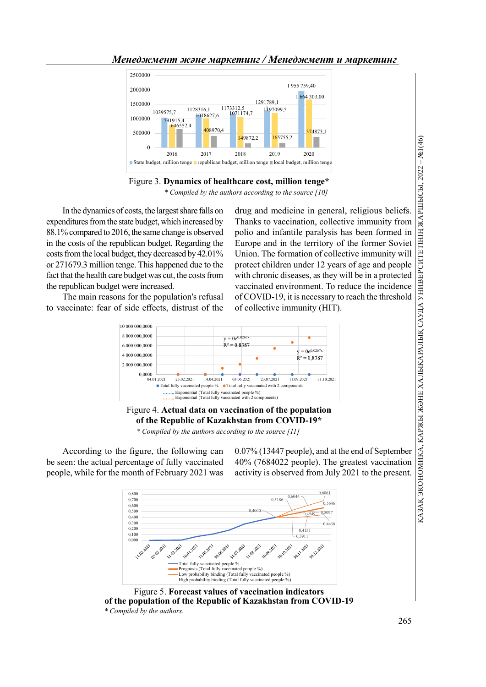



Figure 3. Dynamics of healthcare cost, million tenge\* \* Compiled by the authors according to the source [10]

In the dynamics of costs, the largest share falls on expenditures from the state budget, which increased by 88.1% compared to 2016, the same change is observed in the costs of the republican budget. Regarding the costs from the local budget, they decreased by 42.01% or 271679.3 million tenge. This happened due to the fact that the health care budget was cut, the costs from the republican budget were increased.

The main reasons for the population's refusal to vaccinate: fear of side effects, distrust of the

**BEVERENCE (2008)**<br>
2018<br>
2018<br>
2018<br>
2018<br>
At million tenge shoal bulget, million tenge<br>
and medicine in general, religious beliefs.<br>
Thanks to vaccination, collective immunity from<br>
polio and infantile paralysis has bee Thanks to vaccination, collective immunity from polio and infantile paralysis has been formed in Europe and in the territory of the former Soviet Union. The formation of collective immunity will protect children under 12 years of age and people with chronic diseases, as they will be in a protected vaccinated environment. To reduce the incidence of COVID-19, it is necessary to reach the threshold of collective immunity (HIT).





\* Compiled by the authors according to the source [11]

According to the figure, the following can be seen: the actual percentage of fully vaccinated people, while for the month of February 2021 was

0.07% (13447 people), and at the end of September 40% (7684022 people). The greatest vaccination activity is observed from July 2021 to the present.



Figure 5. Forecast values of vaccination indicators of the population of the Republic of Kazakhstan from COVID-19 \* Compiled by the authors.

265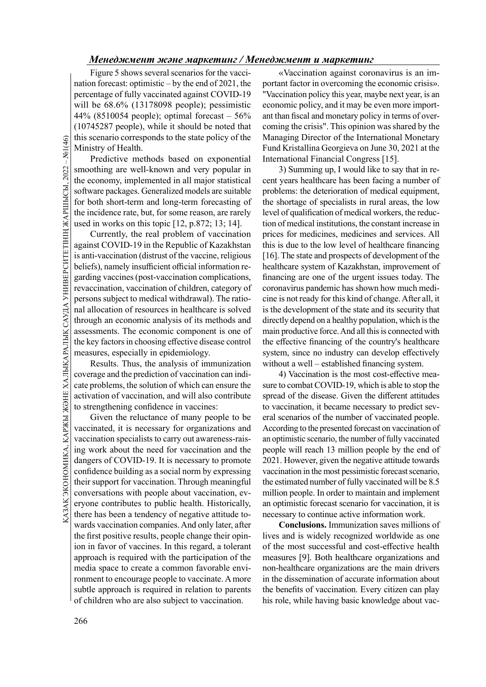Figure 5 shows several scenarios for the vaccination forecast: optimistic – by the end of 2021, the percentage of fully vaccinated against COVID-19 will be 68.6% (13178098 people); pessimistic 44% (8510054 people); optimal forecast – 56% (10745287 people), while it should be noted that this scenario corresponds to the state policy of the Ministry of Health.

Predictive methods based on exponential smoothing are well-known and very popular in the economy, implemented in all major statistical software packages. Generalized models are suitable for both short-term and long-term forecasting of the incidence rate, but, for some reason, are rarely used in works on this topic [12, p.872; 13; 14].

THE STRIDGENT COND-19 in Scenario corresponding are well-known in predictive method<br>
smoothing are well-known implement of the economy, implement of the economy, implement of the incidence rate, but, used in works on this Currently, the real problem of vaccination against COVID-19 in the Republic of Kazakhstan is anti-vaccination (distrust of the vaccine, religious beliefs), namely insufficient official information regarding vaccines (post-vaccination complications, revaccination, vaccination of children, category of persons subject to medical withdrawal). The rational allocation of resources in healthcare is solved through an economic analysis of its methods and assessments. The economic component is one of the key factors in choosing effective disease control measures, especially in epidemiology.

Results. Thus, the analysis of immunization coverage and the prediction of vaccination can indicate problems, the solution of which can ensure the activation of vaccination, and will also contribute to strengthening confidence in vaccines:

 $\frac{1}{2}$  to suenguiening confidence in vaccines.<br>  $\frac{1}{2}$  Given the reluctance of many people to be eral scenario vaccinated, it is necessary for organizations and According to vaccination specialists to carry out awar Given the reluctance of many people to be vaccinated, it is necessary for organizations and vaccination specialists to carry out awareness-raising work about the need for vaccination and the dangers of COVID-19. It is necessary to promote confidence building as a social norm by expressing their support for vaccination. Through meaningful conversations with people about vaccination, everyone contributes to public health. Historically, there has been a tendency of negative attitude towards vaccination companies. And only later, after the first positive results, people change their opinion in favor of vaccines. In this regard, a tolerant approach is required with the participation of the media space to create a common favorable environment to encourage people to vaccinate. A more subtle approach is required in relation to parents of children who are also subject to vaccination.

«Vaccination against coronavirus is an important factor in overcoming the economic crisis». "Vaccination policy this year, maybe next year, is an economic policy, and it may be even more important than fiscal and monetary policy in terms of overcoming the crisis". This opinion was shared by the Managing Director of the International Monetary Fund Kristallina Georgieva on June 30, 2021 at the International Financial Congress [15].

3) Summing up, I would like to say that in recent years healthcare has been facing a number of problems: the deterioration of medical equipment, the shortage of specialists in rural areas, the low level of qualification of medical workers, the reduction of medical institutions, the constant increase in prices for medicines, medicines and services. All this is due to the low level of healthcare financing [16]. The state and prospects of development of the healthcare system of Kazakhstan, improvement of financing are one of the urgent issues today. The coronavirus pandemic has shown how much medicine is not ready for this kind of change. After all, it is the development of the state and its security that directly depend on a healthy population, which is the main productive force. And all this is connected with the effective financing of the country's healthcare system, since no industry can develop effectively without a well – established financing system.

4) Vaccination is the most cost-effective measure to combat COVID-19, which is able to stop the spread of the disease. Given the different attitudes to vaccination, it became necessary to predict several scenarios of the number of vaccinated people. According to the presented forecast on vaccination of an optimistic scenario, the number of fully vaccinated people will reach 13 million people by the end of 2021. However, given the negative attitude towards vaccination in the most pessimistic forecast scenario, the estimated number of fully vaccinated will be 8.5 million people. In order to maintain and implement an optimistic forecast scenario for vaccination, it is necessary to continue active information work.

Conclusions. Immunization saves millions of lives and is widely recognized worldwide as one of the most successful and cost-effective health measures [9]. Both healthcare organizations and non-healthcare organizations are the main drivers in the dissemination of accurate information about the benefits of vaccination. Every citizen can play his role, while having basic knowledge about vac-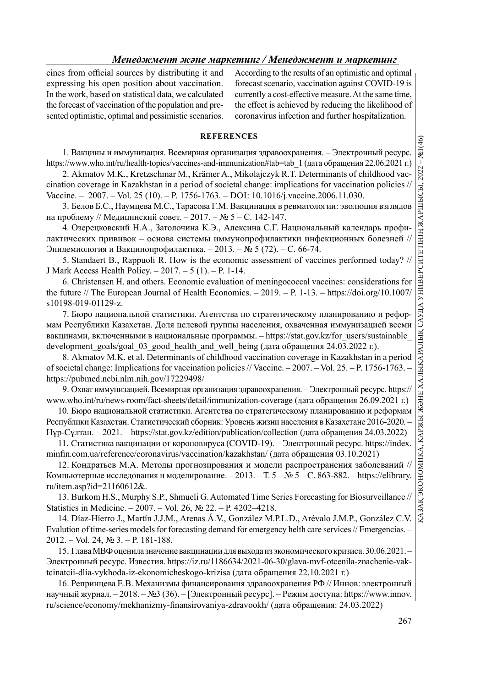cines from official sources by distributing it and expressing his open position about vaccination. In the work, based on statistical data, we calculated the forecast of vaccination of the population and presented optimistic, optimal and pessimistic scenarios. According to the results of an optimistic and optimal forecast scenario, vaccination against COVID-19 is currently a cost-effective measure. At the same time, the effect is achieved by reducing the likelihood of coronavirus infection and further hospitalization.

# **REFERENCES**

1. Вакцины и иммунизация. Всемирная организация здравоохранения. – Электронный ресурс.

2. Akmatov M.K., Kretzschmar M., Krämer A., Mikolajczyk R.T. Determinants of childhood vaccination coverage in Kazakhstan in a period of societal change: implications for vaccination policies // Vaccine. – 2007. – Vol. 25 (10). – P. 1756-1763. – DOI: 10.1016/j.vaccine.2006.11.030.

3. Белов Б.С., Наумцева М.С., Тарасова Г.М. Вакцинация в ревматологии: эволюция взглядов на проблему // Медицинский совет. – 2017. – № 5 – С. 142-147.

4. Озерецковский Н.А., Затолочина К.Э., Алексина С.Г. Национальный календарь профилактических прививок – основа системы иммунопрофилактики инфекционных болезней // Эпидемиология и Вакцинопрофилактика. – 2013. – № 5 (72). – С. 66-74.

5. Standaert B., Rappuoli R. How is the economic assessment of vaccines performed today? // J Mark Access Health Policy. – 2017. – 5 (1). – P. 1-14.

6. Christensen H. and others. Economic evaluation of meningococcal vaccines: considerations for the future // The European Journal of Health Economics. – 2019. – P. 1-13. – https://doi.org/10.1007/ s10198-019-01129-z.

https://www.who.int/ru/health-topics/vaccines-and-immunization/wideo-tela-1 (garnetopy and interval and particle of social change: "mplications for vaccines-and-immunization in a period of social change: "mplications for 7. Бюро национальной статистики. Агентства по стратегическому планированию и реформам Республики Казахстан. Доля целевой группы населения, охваченная иммунизацией всеми вакцинами, включенными в национальные программы. - https://stat.gov.kz/for\_users/sustainable development goals/goal 03 good health and well being (дата обращения 24.03.2022 г.).

8. Akmatov M.K. et al. Determinants of childhood vaccination coverage in Kazakhstan in a period of societal change: Implications for vaccination policies // Vaccine. – 2007. – Vol. 25. – P. 1756-1763. – https://pubmed.ncbi.nlm.nih.gov/17229498/

9. Охват иммунизацией. Всемирная организация здравоохранения. – Электронный ресурс. https:// www.who.int/ru/news-room/fact-sheets/detail/immunization-coverage (дата обращения 26.09.2021 г.)

10. Бюро национальной статистики. Агентства по стратегическому планированию и реформам Республики Казахстан. Статистический сборник: Уровень жизни населения в Казахстане 2016-2020. – Нұр-Сұлтан. – 2021. – https://stat.gov.kz/edition/publication/collection (дата обращения 24.03.2022)

11. Статистика вакцинации от короновируса (COVID-19). – Электронный ресурс. https://index. minfin.com.ua/reference/coronavirus/vaccination/kazakhstan/ (дата обращения 03.10.2021)

12. Кондратьев М.А. Методы прогнозирования и модели распространения заболеваний // Компьютерные исследования и моделирование. – 2013. – Т. 5 – № 5 – С. 863-882. – https://elibrary. ru/item.asp?id=21160612&.

13. Burkom H.S., Murphy S.P., Shmueli G. Automated Time Series Forecasting for Biosurveillance // Statistics in Medicine. – 2007. – Vol. 26, № 22. – P. 4202–4218.

14. Díaz-Híerro J., Martín J.J.M., Arenas Á.V., González M.P.L.D., Arévalo J.M.P., González C.V. Evalution of time-series models for forecasting demand for emergency helth care services // Emergencias. – 2012. – Vol. 24, № 3. – P. 181-188.

15. Глава МВФ оценила значение вакцинации для выхода из экономического кризиса. 30.06.2021. – Электронный ресурс. Известия. https://iz.ru/1186634/2021-06-30/glava-mvf-otcenila-znachenie-vaktcinatcii-dlia-vykhoda-iz-ekonomicheskogo-krizisa (дата обращения 22.10.2021 г.)

16. Репринцева Е.В. Механизмы финансирования здравоохранения РФ // Иннов: электронный научный журнал. – 2018. – №3 (36). – [Электронный ресурс]. – Режим доступа: https://www.innov. ru/science/economy/mekhanizmy-finansirovaniya-zdravookh/ (дата обращения: 24.03.2022)

267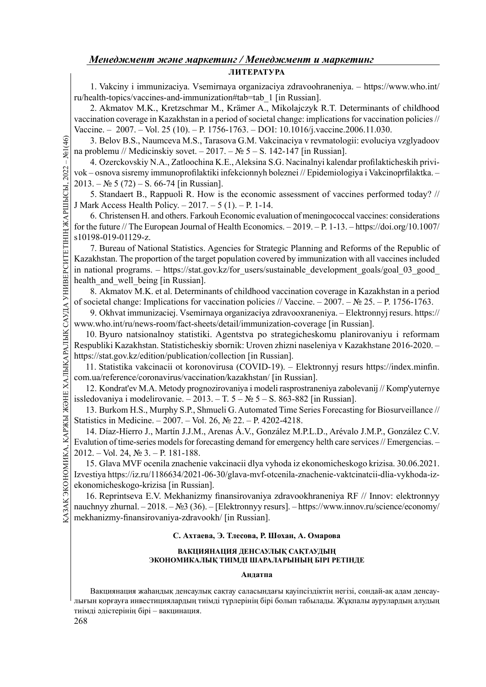1. Vakciny i immunizaciya. Vsemirnaya organizaciya zdravoohraneniya. – https://www.who.int/ ru/health-topics/vaccines-and-immunization#tab=tab\_1 [in Russian].

2. Akmatov M.K., Kretzschmar M., Krämer A., Mikolajczyk R.T. Determinants of childhood vaccination coverage in Kazakhstan in a period of societal change: implications for vaccination policies // Vaccine. – 2007. – Vol. 25 (10). – P. 1756-1763. – DOI: 10.1016/j.vaccine.2006.11.030.

3. Belov B.S., Naumceva M.S., Tarasova G.M. Vakcinaciya v revmatologii: evoluciya vzglyadoov na problemu // Medicinskiy sovet. – 2017. – № 5 – S. 142-147 [in Russian].

4. Ozerckovskiy N.A., Zatloochina K.E., Aleksina S.G. Nacinalnyi kalendar profi lakticheskih privivok – osnova sisremy immunoprofilaktiki infekcionnyh boleznei // Epidemiologiya i Vakcinoprfilaktka. –  $2013. - N_2 5 (72) - S. 66-74$  [in Russian].

5. Standaert B., Rappuoli R. How is the economic assessment of vaccines performed today? // J Mark Access Health Policy. – 2017. – 5 (1). – P. 1-14.

6. Christensen H. and others. Farkouh Economic evaluation of meningococcal vaccines: considerations for the future // The European Journal of Health Economics. – 2019. – P. 1-13. – https://doi.org/10.1007/ s10198-019-01129-z.

3. Belov B.S., Nau<br>
In a problemu // Medicir<br>
4. Ozerckovskiy N<br>
Vok – osnova sisremy in<br>
1. Ozerckovskiy N<br>
5. Standaert B., R.<br>
5. Standaert B., R.<br>
5. Standaert B., R.<br>
6. Christensen H. at<br>
6. Christensen H. at<br>
6. C 7. Bureau of National Statistics. Agencies for Strategic Planning and Reforms of the Republic of Kazakhstan. The proportion of the target population covered by immunization with all vaccines included in national programs. – https://stat.gov.kz/for\_users/sustainable\_development\_goals/goal\_03\_good health and well being [in Russian].

8. Akmatov M.K. et al. Determinants of childhood vaccination coverage in Kazakhstan in a period of societal change: Implications for vaccination policies // Vaccine. – 2007. – № 25. – P. 1756-1763.

9. Okhvat immunizaciej. Vsemirnaya organizaciya zdravooxraneniya. – Elektronnyj resurs. https:// www.who.int/ru/news-room/fact-sheets/detail/immunization-coverage [in Russian].

10. Byuro natsionalnoy statistiki. Agentstva po strategicheskomu planirovaniyu i reformam Respubliki Kazakhstan. Statisticheskiy sbornik: Uroven zhizni naseleniya v Kazakhstane 2016-2020. – https://stat.gov.kz/edition/publication/collection [in Russian].

11. Statistika vakcinacii ot koronovirusa (COVID-19). – Elektronnyj resurs https://index.minfin. com.ua/reference/coronavirus/vaccination/kazakhstan/ [in Russian].

12. Kondrat'ev M.A. Metody prognozirovaniya i modeli rasprostraneniya zabolevanij // Komp'yuternye issledovaniya i modelirovanie. – 2013. – T.  $5 - N_2$  5 – S. 863-882 [in Russian].

13. Burkom H.S., Murphy S.P., Shmueli G. Automated Time Series Forecasting for Biosurveillance // Statistics in Medicine. – 2007. – Vol. 26, № 22. – P. 4202-4218.

14. Díaz-Híerro J., Martín J.J.M., Arenas Á.V., González M.P.L.D., Arévalo J.M.P., González C.V. Evalution of time-series models for forecasting demand for emergency helth care services // Emergencias. – 2012. – Vol. 24, № 3. – P. 181-188.

13. Burkom H.S., Murphy S.P., Shmueli G. Automated Time Se<br>
Statistics in Medicine. – 2007. – Vol. 26, Nº 22. – P. 4202-4218.<br>
14. Díaz-Híerro J., Martín J.J.M., Arenas Á.V., González M.P<br>
Evalution of time-series models 15. Glava MVF ocenila znachenie vakcinacii dlya vyhoda iz ekonomicheskogo krizisa. 30.06.2021. Izvestiya https://iz.ru/1186634/2021-06-30/glava-mvf-otcenila-znachenie-vaktcinatcii-dlia-vykhoda-izekonomicheskogo-krizisa [in Russian].

16. Reprintseva E.V. Mekhanizmy finansirovaniya zdravookhraneniya RF // Innov: elektronnyy nauchnyy zhurnal. – 2018. – №3 (36). – [Elektronnyy resurs]. – https://www.innov.ru/science/economy/ mekhanizmy-finansirovaniya-zdravookh/ [in Russian].

# С. Ахтаева, Э. Тлесова, Р. Шохан, А. Омарова

# ВАКЦИЯНАЦИЯ ДЕНСАУЛЫҚ САҚТАУДЫҢ ЭКОНОМИКАЛЫҚ ТИІМДІ ШАРАЛАРЫНЫҢ БІРІ РЕТІНДЕ

# Андатпа

Вакциянация жаһандық денсаулық сақтау саласындағы қауіпсіздіктің негізі, сондай-ақ адам денсаулығын қорғауға инвестициялардың тиімді түрлерінің бірі болып табылады. Жұқпалы аурулардың алудың тиімді әдістерінің бірі – вакцинация.